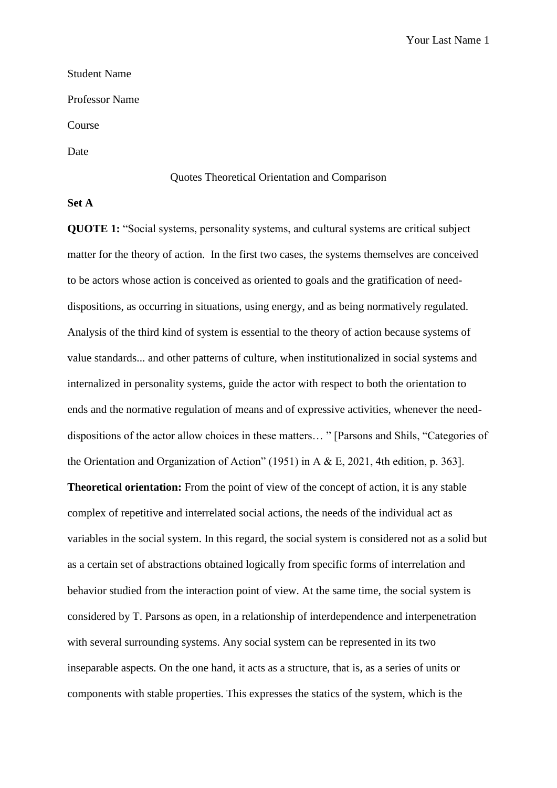# Student Name Professor Name

Course

Date

#### Quotes Theoretical Orientation and Comparison

## **Set A**

**QUOTE 1:** "Social systems, personality systems, and cultural systems are critical subject matter for the theory of action. In the first two cases, the systems themselves are conceived to be actors whose action is conceived as oriented to goals and the gratification of needdispositions, as occurring in situations, using energy, and as being normatively regulated. Analysis of the third kind of system is essential to the theory of action because systems of value standards... and other patterns of culture, when institutionalized in social systems and internalized in personality systems, guide the actor with respect to both the orientation to ends and the normative regulation of means and of expressive activities, whenever the needdispositions of the actor allow choices in these matters… " [Parsons and Shils, "Categories of the Orientation and Organization of Action" (1951) in A & E, 2021, 4th edition, p. 363].

**Theoretical orientation:** From the point of view of the concept of action, it is any stable complex of repetitive and interrelated social actions, the needs of the individual act as variables in the social system. In this regard, the social system is considered not as a solid but as a certain set of abstractions obtained logically from specific forms of interrelation and behavior studied from the interaction point of view. At the same time, the social system is considered by T. Parsons as open, in a relationship of interdependence and interpenetration with several surrounding systems. Any social system can be represented in its two inseparable aspects. On the one hand, it acts as a structure, that is, as a series of units or components with stable properties. This expresses the statics of the system, which is the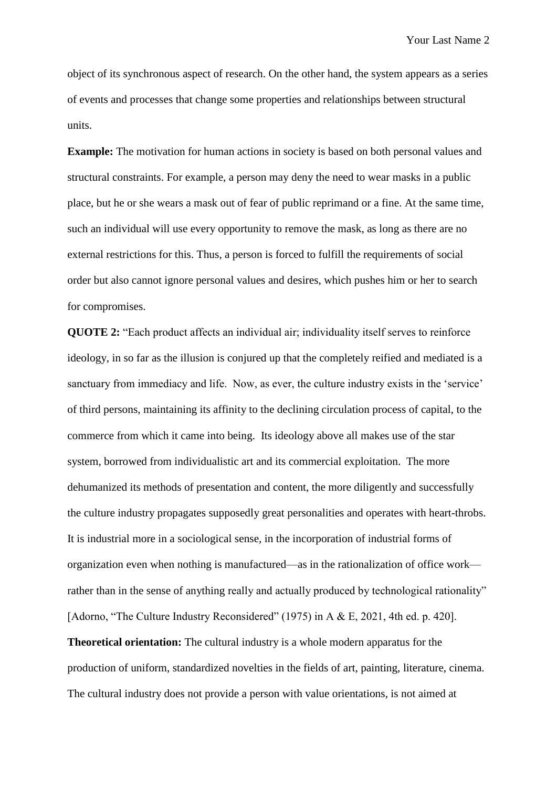object of its synchronous aspect of research. On the other hand, the system appears as a series of events and processes that change some properties and relationships between structural units.

**Example:** The motivation for human actions in society is based on both personal values and structural constraints. For example, a person may deny the need to wear masks in a public place, but he or she wears a mask out of fear of public reprimand or a fine. At the same time, such an individual will use every opportunity to remove the mask, as long as there are no external restrictions for this. Thus, a person is forced to fulfill the requirements of social order but also cannot ignore personal values and desires, which pushes him or her to search for compromises.

**QUOTE 2:** "Each product affects an individual air; individuality itself serves to reinforce ideology, in so far as the illusion is conjured up that the completely reified and mediated is a sanctuary from immediacy and life. Now, as ever, the culture industry exists in the 'service' of third persons, maintaining its affinity to the declining circulation process of capital, to the commerce from which it came into being. Its ideology above all makes use of the star system, borrowed from individualistic art and its commercial exploitation. The more dehumanized its methods of presentation and content, the more diligently and successfully the culture industry propagates supposedly great personalities and operates with heart-throbs. It is industrial more in a sociological sense, in the incorporation of industrial forms of organization even when nothing is manufactured—as in the rationalization of office work rather than in the sense of anything really and actually produced by technological rationality" [Adorno, "The Culture Industry Reconsidered" (1975) in A & E, 2021, 4th ed. p. 420]. **Theoretical orientation:** The cultural industry is a whole modern apparatus for the production of uniform, standardized novelties in the fields of art, painting, literature, cinema. The cultural industry does not provide a person with value orientations, is not aimed at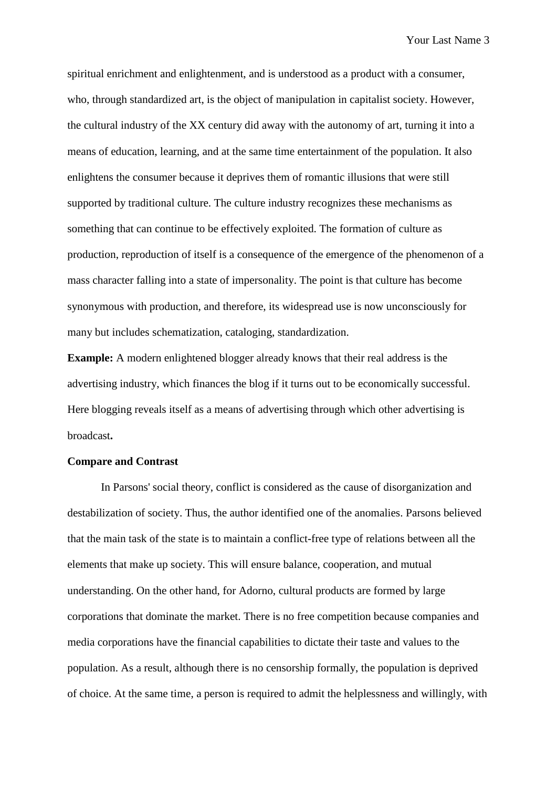spiritual enrichment and enlightenment, and is understood as a product with a consumer, who, through standardized art, is the object of manipulation in capitalist society. However, the cultural industry of the XX century did away with the autonomy of art, turning it into a means of education, learning, and at the same time entertainment of the population. It also enlightens the consumer because it deprives them of romantic illusions that were still supported by traditional culture. The culture industry recognizes these mechanisms as something that can continue to be effectively exploited. The formation of culture as production, reproduction of itself is a consequence of the emergence of the phenomenon of a mass character falling into a state of impersonality. The point is that culture has become synonymous with production, and therefore, its widespread use is now unconsciously for many but includes schematization, cataloging, standardization.

**Example:** A modern enlightened blogger already knows that their real address is the advertising industry, which finances the blog if it turns out to be economically successful. Here blogging reveals itself as a means of advertising through which other advertising is broadcast**.**

### **Compare and Contrast**

In Parsons' social theory, conflict is considered as the cause of disorganization and destabilization of society. Thus, the author identified one of the anomalies. Parsons believed that the main task of the state is to maintain a conflict-free type of relations between all the elements that make up society. This will ensure balance, cooperation, and mutual understanding. On the other hand, for Adorno, cultural products are formed by large corporations that dominate the market. There is no free competition because companies and media corporations have the financial capabilities to dictate their taste and values to the population. As a result, although there is no censorship formally, the population is deprived of choice. At the same time, a person is required to admit the helplessness and willingly, with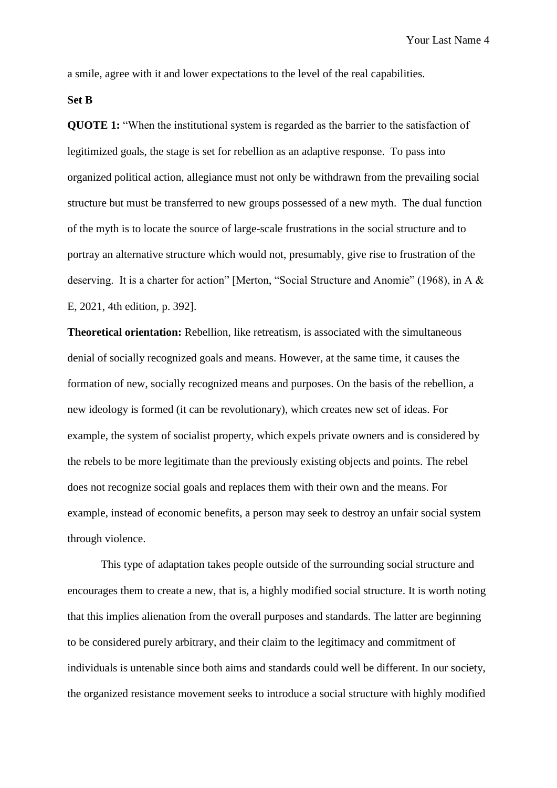a smile, agree with it and lower expectations to the level of the real capabilities.

**Set B**

**QUOTE 1:** "When the institutional system is regarded as the barrier to the satisfaction of legitimized goals, the stage is set for rebellion as an adaptive response. To pass into organized political action, allegiance must not only be withdrawn from the prevailing social structure but must be transferred to new groups possessed of a new myth. The dual function of the myth is to locate the source of large-scale frustrations in the social structure and to portray an alternative structure which would not, presumably, give rise to frustration of the deserving. It is a charter for action" [Merton, "Social Structure and Anomie" (1968), in A & E, 2021, 4th edition, p. 392].

**Theoretical orientation:** Rebellion, like retreatism, is associated with the simultaneous denial of socially recognized goals and means. However, at the same time, it causes the formation of new, socially recognized means and purposes. On the basis of the rebellion, a new ideology is formed (it can be revolutionary), which creates new set of ideas. For example, the system of socialist property, which expels private owners and is considered by the rebels to be more legitimate than the previously existing objects and points. The rebel does not recognize social goals and replaces them with their own and the means. For example, instead of economic benefits, a person may seek to destroy an unfair social system through violence.

This type of adaptation takes people outside of the surrounding social structure and encourages them to create a new, that is, a highly modified social structure. It is worth noting that this implies alienation from the overall purposes and standards. The latter are beginning to be considered purely arbitrary, and their claim to the legitimacy and commitment of individuals is untenable since both aims and standards could well be different. In our society, the organized resistance movement seeks to introduce a social structure with highly modified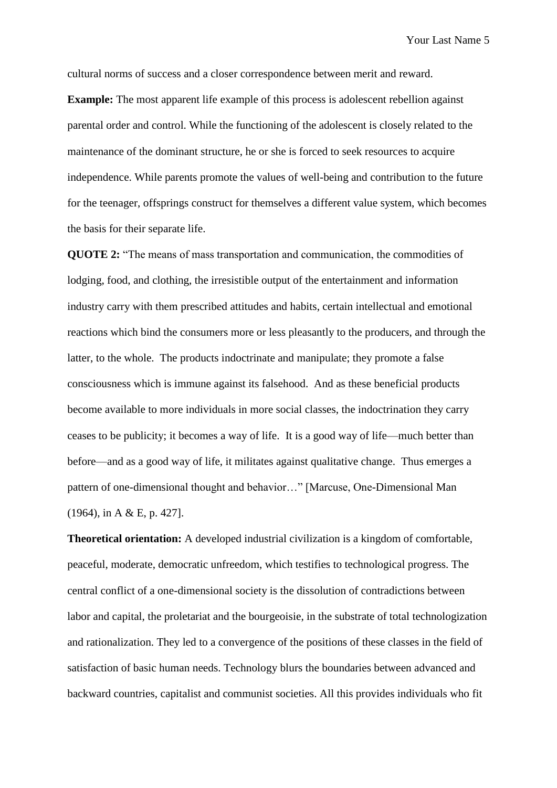cultural norms of success and a closer correspondence between merit and reward.

**Example:** The most apparent life example of this process is adolescent rebellion against parental order and control. While the functioning of the adolescent is closely related to the maintenance of the dominant structure, he or she is forced to seek resources to acquire independence. While parents promote the values of well-being and contribution to the future for the teenager, offsprings construct for themselves a different value system, which becomes the basis for their separate life.

**QUOTE 2:** "The means of mass transportation and communication, the commodities of lodging, food, and clothing, the irresistible output of the entertainment and information industry carry with them prescribed attitudes and habits, certain intellectual and emotional reactions which bind the consumers more or less pleasantly to the producers, and through the latter, to the whole. The products indoctrinate and manipulate; they promote a false consciousness which is immune against its falsehood. And as these beneficial products become available to more individuals in more social classes, the indoctrination they carry ceases to be publicity; it becomes a way of life. It is a good way of life—much better than before—and as a good way of life, it militates against qualitative change. Thus emerges a pattern of one-dimensional thought and behavior…" [Marcuse, One-Dimensional Man (1964), in A & E, p. 427].

**Theoretical orientation:** A developed industrial civilization is a kingdom of comfortable, peaceful, moderate, democratic unfreedom, which testifies to technological progress. The central conflict of a one-dimensional society is the dissolution of contradictions between labor and capital, the proletariat and the bourgeoisie, in the substrate of total technologization and rationalization. They led to a convergence of the positions of these classes in the field of satisfaction of basic human needs. Technology blurs the boundaries between advanced and backward countries, capitalist and communist societies. All this provides individuals who fit